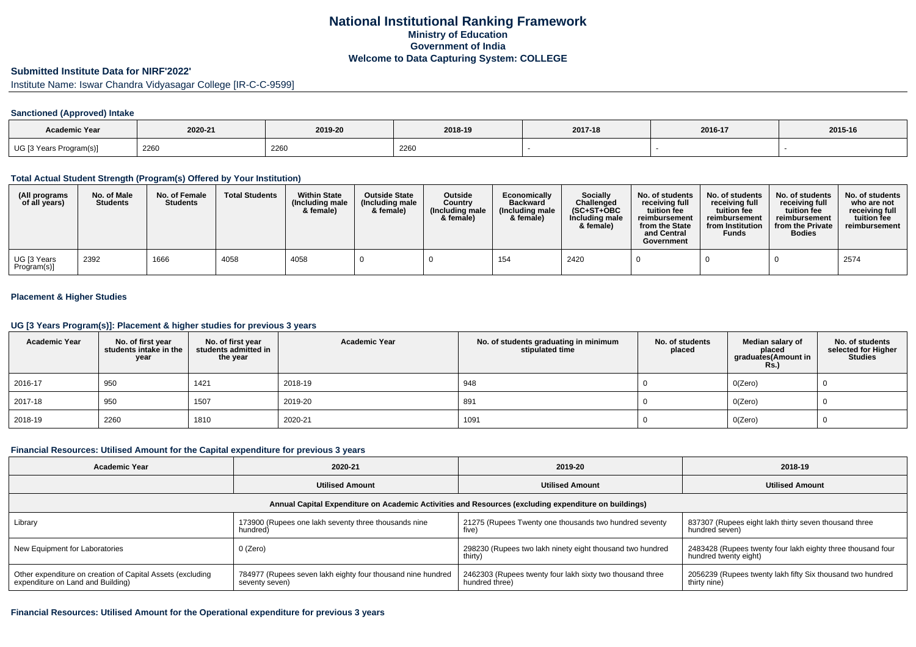## **National Institutional Ranking FrameworkMinistry of Education Government of IndiaWelcome to Data Capturing System: COLLEGE**

### **Submitted Institute Data for NIRF'2022'**

Institute Name: Iswar Chandra Vidyasagar College [IR-C-C-9599]

#### **Sanctioned (Approved) Intake**

| <b>Academic Year</b>    | 2020-21 | 2019-20 | 2018-19 | 2017-18 | 2016-17 | 2015-16 |
|-------------------------|---------|---------|---------|---------|---------|---------|
| UG [3 Years Program(s)] | 2260    | 2260    | 2260    |         |         |         |

### **Total Actual Student Strength (Program(s) Offered by Your Institution)**

| (All programs<br>of all years) | No. of Male<br><b>Students</b> | No. of Female<br><b>Students</b> | <b>Total Students</b> | <b>Within State</b><br>(Including male<br>& female) | <b>Outside State</b><br>(Including male<br>& female) | <b>Outside</b><br>Country<br>(Including male<br>& female) | Economically<br><b>Backward</b><br>(Including male<br>& female) | <b>Socially</b><br>Challenged<br>$(SC+ST+OBC)$<br>Including male<br>& female) | No. of students<br>receiving full<br>tuition fee<br>reimbursement<br>from the State<br>and Central<br>Government | No. of students<br>receiving full<br>tuition fee<br>reimbursement<br>from Institution<br><b>Funds</b> | No. of students<br>receiving full<br>tuition fee<br>reimbursement<br>from the Private<br><b>Bodies</b> | No. of students<br>who are not<br>receiving full<br>tuition fee<br>reimbursement |
|--------------------------------|--------------------------------|----------------------------------|-----------------------|-----------------------------------------------------|------------------------------------------------------|-----------------------------------------------------------|-----------------------------------------------------------------|-------------------------------------------------------------------------------|------------------------------------------------------------------------------------------------------------------|-------------------------------------------------------------------------------------------------------|--------------------------------------------------------------------------------------------------------|----------------------------------------------------------------------------------|
| UG [3 Years<br>Program(s)]     | 2392                           | 1666                             | 4058                  | 4058                                                |                                                      |                                                           | 154                                                             | 2420                                                                          |                                                                                                                  |                                                                                                       |                                                                                                        | 2574                                                                             |

## **Placement & Higher Studies**

### **UG [3 Years Program(s)]: Placement & higher studies for previous 3 years**

| <b>Academic Year</b> | No. of first year<br>students intake in the<br>year | No. of first year<br>students admitted in<br>the year | <b>Academic Year</b> | No. of students graduating in minimum<br>stipulated time | No. of students<br>placed | Median salary of<br>placed<br>graduates(Amount in<br><b>Rs.)</b> | No. of students<br>selected for Higher<br><b>Studies</b> |
|----------------------|-----------------------------------------------------|-------------------------------------------------------|----------------------|----------------------------------------------------------|---------------------------|------------------------------------------------------------------|----------------------------------------------------------|
| 2016-17              | 950                                                 | 1421                                                  | 2018-19              | 948                                                      |                           | O(Zero)                                                          |                                                          |
| 2017-18              | 950                                                 | 1507                                                  | 2019-20              | 891                                                      |                           | O(Zero)                                                          |                                                          |
| 2018-19              | 2260                                                | 1810                                                  | 2020-21              | 1091                                                     |                           | O(Zero)                                                          |                                                          |

### **Financial Resources: Utilised Amount for the Capital expenditure for previous 3 years**

| Academic Year                                                                                        | 2020-21                                                                       | 2019-20                                                                     | 2018-19                                                                              |  |  |  |  |  |  |  |
|------------------------------------------------------------------------------------------------------|-------------------------------------------------------------------------------|-----------------------------------------------------------------------------|--------------------------------------------------------------------------------------|--|--|--|--|--|--|--|
|                                                                                                      | <b>Utilised Amount</b>                                                        | <b>Utilised Amount</b>                                                      | <b>Utilised Amount</b>                                                               |  |  |  |  |  |  |  |
| Annual Capital Expenditure on Academic Activities and Resources (excluding expenditure on buildings) |                                                                               |                                                                             |                                                                                      |  |  |  |  |  |  |  |
| Library                                                                                              | 173900 (Rupees one lakh seventy three thousands nine<br>hundred)              | 21275 (Rupees Twenty one thousands two hundred seventy<br>five)             | 837307 (Rupees eight lakh thirty seven thousand three<br>hundred seven)              |  |  |  |  |  |  |  |
| New Equipment for Laboratories                                                                       | 0 (Zero)                                                                      | 298230 (Rupees two lakh ninety eight thousand two hundred<br>thirty)        | 2483428 (Rupees twenty four lakh eighty three thousand four<br>hundred twenty eight) |  |  |  |  |  |  |  |
| Other expenditure on creation of Capital Assets (excluding<br>expenditure on Land and Building)      | 784977 (Rupees seven lakh eighty four thousand nine hundred<br>seventy seven) | 2462303 (Rupees twenty four lakh sixty two thousand three<br>hundred three) | 2056239 (Rupees twenty lakh fifty Six thousand two hundred<br>thirty nine)           |  |  |  |  |  |  |  |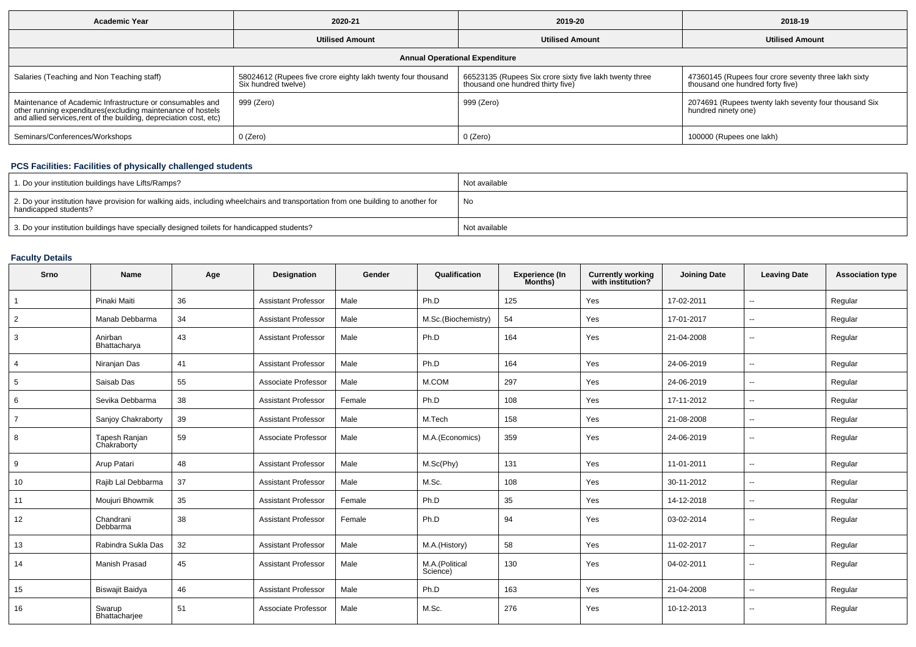| <b>Academic Year</b>                                                                                                                                                                           | 2020-21                                                                             |                                                                                              | 2018-19                                                                                  |  |  |  |  |  |  |  |
|------------------------------------------------------------------------------------------------------------------------------------------------------------------------------------------------|-------------------------------------------------------------------------------------|----------------------------------------------------------------------------------------------|------------------------------------------------------------------------------------------|--|--|--|--|--|--|--|
|                                                                                                                                                                                                | <b>Utilised Amount</b>                                                              | <b>Utilised Amount</b>                                                                       | <b>Utilised Amount</b>                                                                   |  |  |  |  |  |  |  |
| <b>Annual Operational Expenditure</b>                                                                                                                                                          |                                                                                     |                                                                                              |                                                                                          |  |  |  |  |  |  |  |
| Salaries (Teaching and Non Teaching staff)                                                                                                                                                     | 58024612 (Rupees five crore eighty lakh twenty four thousand<br>Six hundred twelve) | 66523135 (Rupees Six crore sixty five lakh twenty three<br>thousand one hundred thirty five) | 47360145 (Rupees four crore seventy three lakh sixty<br>thousand one hundred forty five) |  |  |  |  |  |  |  |
| Maintenance of Academic Infrastructure or consumables and<br>other running expenditures(excluding maintenance of hostels<br>and allied services, rent of the building, depreciation cost, etc) | 999 (Zero)                                                                          | 999 (Zero)                                                                                   | 2074691 (Rupees twenty lakh seventy four thousand Six<br>hundred ninety one)             |  |  |  |  |  |  |  |
| Seminars/Conferences/Workshops                                                                                                                                                                 | 0 (Zero)                                                                            | 0 (Zero)                                                                                     | 100000 (Rupees one lakh)                                                                 |  |  |  |  |  |  |  |

# **PCS Facilities: Facilities of physically challenged students**

| 1. Do your institution buildings have Lifts/Ramps?                                                                                                         | Not available |
|------------------------------------------------------------------------------------------------------------------------------------------------------------|---------------|
| 2. Do your institution have provision for walking aids, including wheelchairs and transportation from one building to another for<br>handicapped students? | No            |
| 3. Do your institution buildings have specially designed toilets for handicapped students?                                                                 | Not available |

# **Faculty Details**

| Srno           | Name                         | Age | <b>Designation</b>         | Gender | Qualification              | <b>Experience (In</b><br>Months) | <b>Currently working</b><br>with institution? | <b>Joining Date</b> | <b>Leaving Date</b>      | <b>Association type</b> |
|----------------|------------------------------|-----|----------------------------|--------|----------------------------|----------------------------------|-----------------------------------------------|---------------------|--------------------------|-------------------------|
| $\overline{1}$ | Pinaki Maiti                 | 36  | <b>Assistant Professor</b> | Male   | Ph.D                       | 125                              | Yes                                           | 17-02-2011          | $\sim$                   | Regular                 |
| $\overline{2}$ | Manab Debbarma               | 34  | <b>Assistant Professor</b> | Male   | M.Sc.(Biochemistry)        | 54                               | Yes                                           | 17-01-2017          | $\sim$                   | Regular                 |
| 3              | Anirban<br>Bhattacharya      | 43  | <b>Assistant Professor</b> | Male   | Ph.D                       | 164                              | Yes                                           | 21-04-2008          | $\overline{\phantom{a}}$ | Regular                 |
| 4              | Niranjan Das                 | 41  | <b>Assistant Professor</b> | Male   | Ph.D                       | 164                              | Yes                                           | 24-06-2019          | $\sim$                   | Regular                 |
| 5              | Saisab Das                   | 55  | Associate Professor        | Male   | M.COM                      | 297                              | Yes                                           | 24-06-2019          | $\overline{\phantom{a}}$ | Regular                 |
| 6              | Sevika Debbarma              | 38  | <b>Assistant Professor</b> | Female | Ph.D                       | 108                              | Yes                                           | 17-11-2012          | $\sim$                   | Regular                 |
| $\overline{7}$ | Sanjoy Chakraborty           | 39  | <b>Assistant Professor</b> | Male   | M.Tech                     | 158                              | Yes                                           | 21-08-2008          | $\sim$                   | Regular                 |
| 8              | Tapesh Ranjan<br>Chakraborty | 59  | Associate Professor        | Male   | M.A.(Economics)            | 359                              | Yes                                           | 24-06-2019          | $\overline{\phantom{a}}$ | Regular                 |
| 9              | Arup Patari                  | 48  | <b>Assistant Professor</b> | Male   | M.Sc(Phy)                  | 131                              | Yes                                           | 11-01-2011          | $\sim$                   | Regular                 |
| 10             | Rajib Lal Debbarma           | 37  | <b>Assistant Professor</b> | Male   | M.Sc.                      | 108                              | Yes                                           | 30-11-2012          | $\sim$                   | Regular                 |
| 11             | Moujuri Bhowmik              | 35  | <b>Assistant Professor</b> | Female | Ph.D                       | 35                               | Yes                                           | 14-12-2018          | $\sim$                   | Regular                 |
| 12             | Chandrani<br>Debbarma        | 38  | <b>Assistant Professor</b> | Female | Ph.D                       | 94                               | Yes                                           | 03-02-2014          | $\sim$                   | Regular                 |
| 13             | Rabindra Sukla Das           | 32  | <b>Assistant Professor</b> | Male   | M.A.(History)              | 58                               | Yes                                           | 11-02-2017          | $\overline{\phantom{a}}$ | Regular                 |
| 14             | Manish Prasad                | 45  | <b>Assistant Professor</b> | Male   | M.A.(Political<br>Science) | 130                              | Yes                                           | 04-02-2011          | $\overline{\phantom{a}}$ | Regular                 |
| 15             | <b>Biswajit Baidya</b>       | 46  | <b>Assistant Professor</b> | Male   | Ph.D                       | 163                              | Yes                                           | 21-04-2008          | $\mathbf{u}$             | Regular                 |
| 16             | Swarup<br>Bhattachariee      | 51  | Associate Professor        | Male   | M.Sc.                      | 276                              | Yes                                           | 10-12-2013          | $\sim$                   | Regular                 |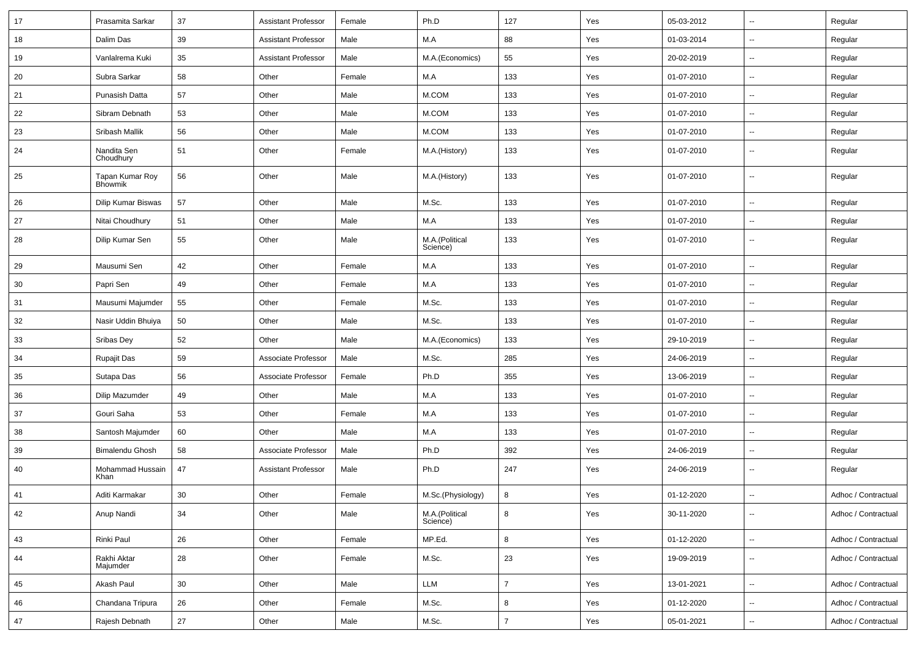| 17 | Prasamita Sarkar                  | 37     | <b>Assistant Professor</b> | Female | Ph.D                       | 127            | Yes | 05-03-2012 | $\overline{\phantom{a}}$ | Regular             |
|----|-----------------------------------|--------|----------------------------|--------|----------------------------|----------------|-----|------------|--------------------------|---------------------|
| 18 | Dalim Das                         | 39     | <b>Assistant Professor</b> | Male   | M.A                        | 88             | Yes | 01-03-2014 | $\sim$                   | Regular             |
| 19 | Vanlalrema Kuki                   | 35     | <b>Assistant Professor</b> | Male   | M.A.(Economics)            | 55             | Yes | 20-02-2019 | $\sim$                   | Regular             |
| 20 | Subra Sarkar                      | 58     | Other                      | Female | M.A                        | 133            | Yes | 01-07-2010 | $\mathbf{u}$             | Regular             |
| 21 | Punasish Datta                    | 57     | Other                      | Male   | M.COM                      | 133            | Yes | 01-07-2010 | $\sim$                   | Regular             |
| 22 | Sibram Debnath                    | 53     | Other                      | Male   | M.COM                      | 133            | Yes | 01-07-2010 | $\overline{\phantom{a}}$ | Regular             |
| 23 | Sribash Mallik                    | 56     | Other                      | Male   | M.COM                      | 133            | Yes | 01-07-2010 | $\overline{\phantom{a}}$ | Regular             |
| 24 | Nandita Sen<br>Choudhury          | 51     | Other                      | Female | M.A.(History)              | 133            | Yes | 01-07-2010 | $\sim$                   | Regular             |
| 25 | Tapan Kumar Roy<br><b>Bhowmik</b> | 56     | Other                      | Male   | M.A.(History)              | 133            | Yes | 01-07-2010 | $\sim$                   | Regular             |
| 26 | <b>Dilip Kumar Biswas</b>         | 57     | Other                      | Male   | M.Sc.                      | 133            | Yes | 01-07-2010 | $\sim$                   | Regular             |
| 27 | Nitai Choudhury                   | 51     | Other                      | Male   | M.A                        | 133            | Yes | 01-07-2010 | $\mathbf{u}$             | Regular             |
| 28 | Dilip Kumar Sen                   | 55     | Other                      | Male   | M.A.(Political<br>Science) | 133            | Yes | 01-07-2010 | $\sim$                   | Regular             |
| 29 | Mausumi Sen                       | 42     | Other                      | Female | M.A                        | 133            | Yes | 01-07-2010 | $\mathbf{u}$             | Regular             |
| 30 | Papri Sen                         | 49     | Other                      | Female | M.A                        | 133            | Yes | 01-07-2010 | $\overline{\phantom{a}}$ | Regular             |
| 31 | Mausumi Majumder                  | 55     | Other                      | Female | M.Sc.                      | 133            | Yes | 01-07-2010 | $\sim$                   | Regular             |
| 32 | Nasir Uddin Bhuiya                | 50     | Other                      | Male   | M.Sc.                      | 133            | Yes | 01-07-2010 | $\overline{\phantom{a}}$ | Regular             |
| 33 | Sribas Dey                        | 52     | Other                      | Male   | M.A.(Economics)            | 133            | Yes | 29-10-2019 | $\sim$                   | Regular             |
| 34 | Rupajit Das                       | 59     | Associate Professor        | Male   | M.Sc.                      | 285            | Yes | 24-06-2019 | $\sim$                   | Regular             |
| 35 | Sutapa Das                        | 56     | Associate Professor        | Female | Ph.D                       | 355            | Yes | 13-06-2019 | $\mathbf{u}$             | Regular             |
| 36 | Dilip Mazumder                    | 49     | Other                      | Male   | M.A                        | 133            | Yes | 01-07-2010 | $\sim$                   | Regular             |
| 37 | Gouri Saha                        | 53     | Other                      | Female | M.A                        | 133            | Yes | 01-07-2010 | $\mathbf{u}$             | Regular             |
| 38 | Santosh Majumder                  | 60     | Other                      | Male   | M.A                        | 133            | Yes | 01-07-2010 | $\overline{\phantom{a}}$ | Regular             |
| 39 | <b>Bimalendu Ghosh</b>            | 58     | Associate Professor        | Male   | Ph.D                       | 392            | Yes | 24-06-2019 | $\sim$                   | Regular             |
| 40 | Mohammad Hussain<br>Khan          | 47     | <b>Assistant Professor</b> | Male   | Ph.D                       | 247            | Yes | 24-06-2019 | $\sim$                   | Regular             |
| 41 | Aditi Karmakar                    | 30     | Other                      | Female | M.Sc.(Physiology)          | 8              | Yes | 01-12-2020 | $\overline{\phantom{a}}$ | Adhoc / Contractual |
| 42 | Anup Nandi                        | 34     | Other                      | Male   | M.A.(Political<br>Science) | 8              | Yes | 30-11-2020 | $\sim$                   | Adhoc / Contractual |
| 43 | Rinki Paul                        | 26     | Other                      | Female | MP.Ed.                     | 8              | Yes | 01-12-2020 | $\sim$                   | Adhoc / Contractual |
| 44 | Rakhi Aktar<br>Majumder           | 28     | Other                      | Female | M.Sc.                      | 23             | Yes | 19-09-2019 | $\sim$                   | Adhoc / Contractual |
| 45 | Akash Paul                        | $30\,$ | Other                      | Male   | LLM                        | $\overline{7}$ | Yes | 13-01-2021 | $\sim$                   | Adhoc / Contractual |
| 46 | Chandana Tripura                  | 26     | Other                      | Female | M.Sc.                      | 8              | Yes | 01-12-2020 | $\mathbf{u}$             | Adhoc / Contractual |
| 47 | Rajesh Debnath                    | 27     | Other                      | Male   | M.Sc.                      | $\overline{7}$ | Yes | 05-01-2021 | $\sim$                   | Adhoc / Contractual |